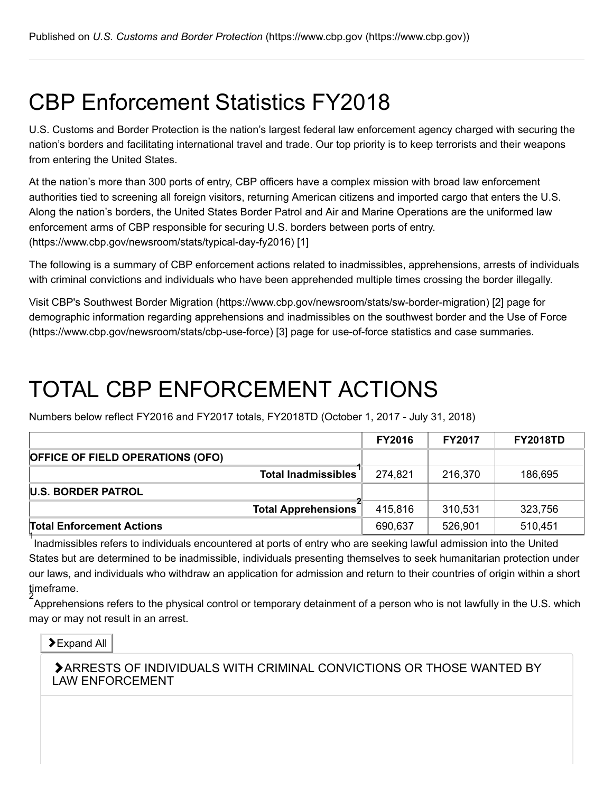## CBP Enforcement Statistics FY2018

U.S. Customs and Border Protection is the nation's largest federal law enforcement agency charged with securing the nation's borders and facilitating international travel and trade. Our top priority is to keep terrorists and their weapons from entering the United States.

At the nation's more than 300 ports of entry, CBP officers have a complex mission with broad law enforcement authorities tied to screening all foreign visitors, returning American citizens and imported cargo that enters the U.S. Along the nation's borders, the United States Border Patrol and Air and Marine Operations are the uniformed law [enforcement arms of CBP responsible for securing U.S. borders between ports of entry.](https://www.cbp.gov/newsroom/stats/typical-day-fy2016) (https://www.cbp.gov/newsroom/stats/typical-day-fy2016) [1]

The following is a summary of CBP enforcement actions related to inadmissibles, apprehensions, arrests of individuals with criminal convictions and individuals who have been apprehended multiple times crossing the border illegally.

Visit CBP's [Southwest Border Migration \(https://www.cbp.gov/newsroom/stats/sw-border-migration\)](https://www.cbp.gov/newsroom/stats/sw-border-migration) [2] page for [demographic information regarding apprehensions and inadmissibles on the southwest border and the Use of Force](https://www.cbp.gov/newsroom/stats/cbp-use-force) (https://www.cbp.gov/newsroom/stats/cbp-use-force) [3] page for use-of-force statistics and case summaries.

## TOTAL CBP ENFORCEMENT ACTIONS

Numbers below reflect FY2016 and FY2017 totals, FY2018TD (October 1, 2017 - July 31, 2018)

|                                         | <b>FY2016</b> | <b>FY2017</b> | <b>FY2018TD</b> |
|-----------------------------------------|---------------|---------------|-----------------|
| <b>OFFICE OF FIELD OPERATIONS (OFO)</b> |               |               |                 |
| <b>Total Inadmissibles</b>              | 274,821       | 216,370       | 186,695         |
| <b>U.S. BORDER PATROL</b>               |               |               |                 |
| <b>Total Apprehensions</b>              | 415,816       | 310,531       | 323,756         |
| <b>Total Enforcement Actions</b>        | 690,637       | 526,901       | 510,451         |

I<br>Inadmissibles refers to individuals encountered at ports of entry who are seeking lawful admission into the United States but are determined to be inadmissible, individuals presenting themselves to seek humanitarian protection under our laws, and individuals who withdraw an application for admission and return to their countries of origin within a short timeframe. 2

Apprehensions refers to the physical control or temporary detainment of a person who is not lawfully in the U.S. which may or may not result in an arrest.

#### **>Expand All**

ARRESTS OF INDIVIDUALS WITH CRIMINAL CONVICTIONS OR THOSE WANTED BY LAW ENFORCEMENT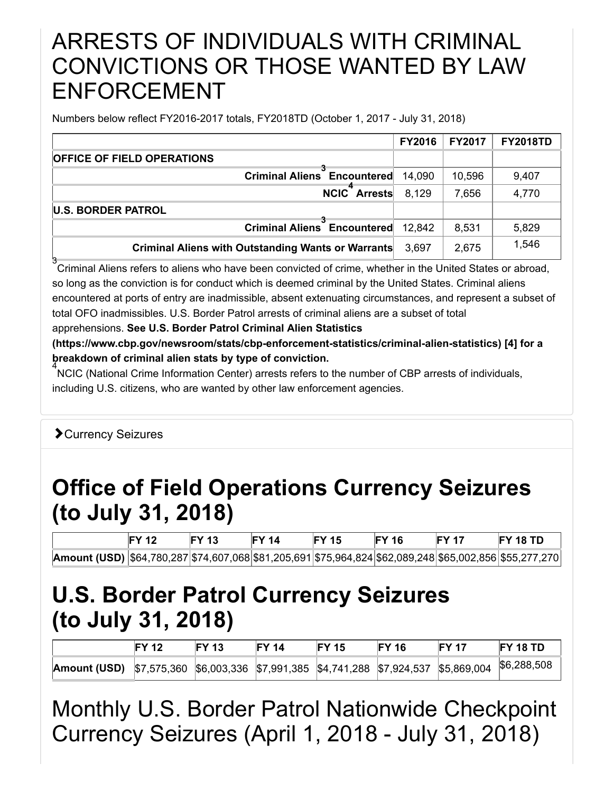#### ARRESTS OF INDIVIDUALS WITH CRIMINAL CONVICTIONS OR THOSE WANTED BY LAW ENFORCEMENT

Numbers below reflect FY2016-2017 totals, FY2018TD (October 1, 2017 - July 31, 2018)

|                                                           | <b>FY2016</b> | <b>FY2017</b> | <b>FY2018TD</b> |
|-----------------------------------------------------------|---------------|---------------|-----------------|
| <b>OFFICE OF FIELD OPERATIONS</b>                         |               |               |                 |
| <b>Criminal Aliens Encountered</b>                        | 14,090        | 10,596        | 9,407           |
| <b>NCIC</b> Arrests                                       | 8,129         | 7,656         | 4,770           |
| <b>U.S. BORDER PATROL</b>                                 |               |               |                 |
| Criminal Aliens Encountered                               | 12.842        | 8,531         | 5,829           |
| <b>Criminal Aliens with Outstanding Wants or Warrants</b> | 3.697         | 2,675         | 1,546           |

3<br>Criminal Aliens refers to aliens who have been convicted of crime, whether in the United States or abroad, so long as the conviction is for conduct which is deemed criminal by the United States. Criminal aliens encountered at ports of entry are inadmissible, absent extenuating circumstances, and represent a subset of total OFO inadmissibles. U.S. Border Patrol arrests of criminal aliens are a subset of total

apprehensions. **See U.S. Border Patrol Criminal Alien Statistics**

**[\(https://www.cbp.gov/newsroom/stats/cbp-enforcement-statistics/criminal-alien-statistics\)](https://www.cbp.gov/newsroom/stats/cbp-enforcement-statistics/criminal-alien-statistics) [4] for a breakdown of criminal alien stats by type of conviction.**

NCIC (National Crime Information Center) arrests refers to the number of CBP arrests of individuals, 4 including U.S. citizens, who are wanted by other law enforcement agencies.

#### Currency Seizures

### **Office of Field Operations Currency Seizures (to July 31, 2018)**

|                                                                                                                 | <b>FY 13</b> | <b>FY 14</b> | <b>FY 15</b> | <b>FY 16</b> | <b>FY 17</b> | <b>FY 18 TD</b> |
|-----------------------------------------------------------------------------------------------------------------|--------------|--------------|--------------|--------------|--------------|-----------------|
| <b>Amount (USD)</b>  \$64,780,287 \$74,607,068 \$81,205,691 \$75,964,824 \$62,089,248 \$65,002,856 \$55,277,270 |              |              |              |              |              |                 |

### **U.S. Border Patrol Currency Seizures (to July 31, 2018)**

|                                                                                                         | <b>FY 12</b> | <b>FY 13</b> | <b>FY 14</b> | <b>FY 15</b> | <b>FY 16</b> | <b>FY 17</b> | <b>FY 18 TD</b> |
|---------------------------------------------------------------------------------------------------------|--------------|--------------|--------------|--------------|--------------|--------------|-----------------|
| <b>Amount (USD)</b> \$7,575,360 \$6,003,336 \$7,991,385 \$4,741,288 \$7,924,537 \$5,869,004 \$6,288,508 |              |              |              |              |              |              |                 |

Monthly U.S. Border Patrol Nationwide Checkpoint Currency Seizures (April 1, 2018 - July 31, 2018)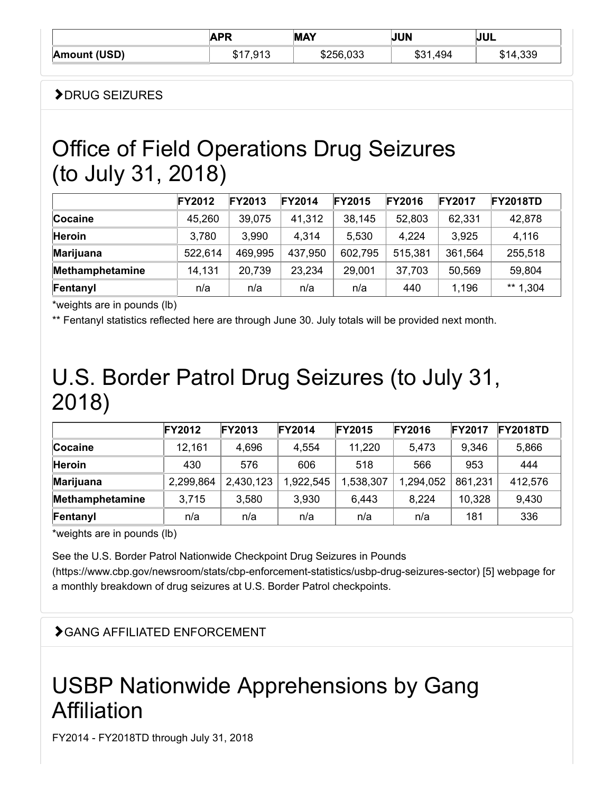|              | <b>ADD</b> | <b>MAY</b> | <b>JUN</b>  | JUL         |  |
|--------------|------------|------------|-------------|-------------|--|
| Amount (USD) | ,913       | \$256,033  | 494<br>১১ । | ,339<br>. ت |  |

#### DRUG SEIZURES

### Office of Field Operations Drug Seizures (to July 31, 2018)

|                 | <b>FY2012</b> | <b>FY2013</b> | <b>FY2014</b> | <b>FY2015</b> | <b>FY2016</b> | <b>FY2017</b> | <b>FY2018TD</b> |
|-----------------|---------------|---------------|---------------|---------------|---------------|---------------|-----------------|
| Cocaine         | 45,260        | 39,075        | 41,312        | 38,145        | 52,803        | 62,331        | 42,878          |
| <b>Heroin</b>   | 3,780         | 3,990         | 4,314         | 5,530         | 4,224         | 3,925         | 4,116           |
| Marijuana       | 522,614       | 469,995       | 437,950       | 602,795       | 515,381       | 361,564       | 255,518         |
| Methamphetamine | 14,131        | 20,739        | 23,234        | 29,001        | 37,703        | 50,569        | 59,804          |
| Fentanyl        | n/a           | n/a           | n/a           | n/a           | 440           | 1,196         | ** $1,304$      |

\*weights are in pounds (lb)

\*\* Fentanyl statistics reflected here are through June 30. July totals will be provided next month.

### U.S. Border Patrol Drug Seizures (to July 31, 2018)

|                  | <b>FY2012</b> | <b>FY2013</b> | <b>FY2014</b> | <b>FY2015</b> | <b>FY2016</b> | <b>FY2017</b> | <b>FY2018TD</b> |
|------------------|---------------|---------------|---------------|---------------|---------------|---------------|-----------------|
| Cocaine          | 12,161        | 4,696         | 4,554         | 11,220        | 5,473         | 9,346         | 5,866           |
| <b>Heroin</b>    | 430           | 576           | 606           | 518           | 566           | 953           | 444             |
| <b>Marijuana</b> | 2,299,864     | 2,430,123     | ,922,545      | 1,538,307     | 1,294,052     | 861,231       | 412,576         |
| Methamphetamine  | 3,715         | 3,580         | 3,930         | 6.443         | 8,224         | 10,328        | 9,430           |
| Fentanyl         | n/a           | n/a           | n/a           | n/a           | n/a           | 181           | 336             |

\*weights are in pounds (lb)

See the U.S. Border Patrol Nationwide Checkpoint Drug Seizures in Pounds [\(https://www.cbp.gov/newsroom/stats/cbp-enforcement-statistics/usbp-drug-seizures-sector\)](https://www.cbp.gov/newsroom/stats/cbp-enforcement-statistics/usbp-drug-seizures-sector) [5] webpage for a monthly breakdown of drug seizures at U.S. Border Patrol checkpoints.

#### GANG AFFILIATED ENFORCEMENT

## USBP Nationwide Apprehensions by Gang Affiliation

FY2014 - FY2018TD through July 31, 2018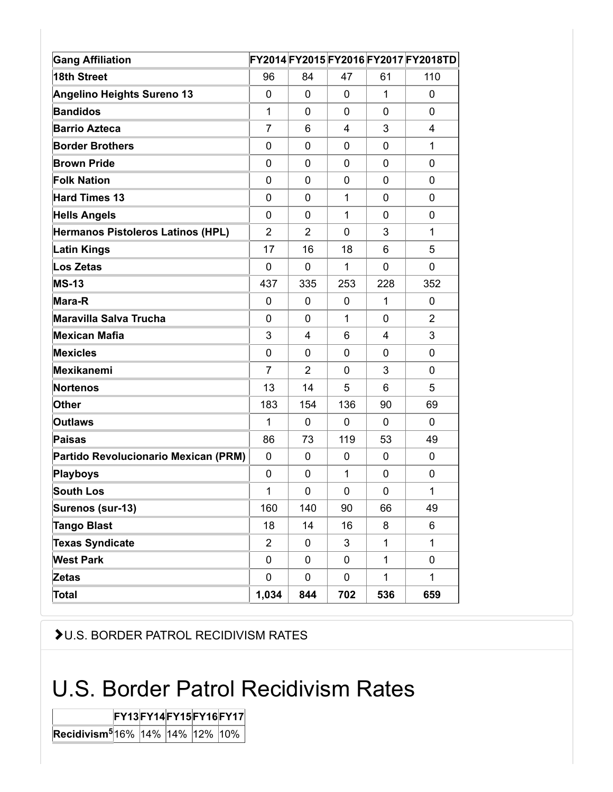| <b>Gang Affiliation</b>              |                |                |             |              | FY2014FY2015FY2016FY2017FY2018TD |
|--------------------------------------|----------------|----------------|-------------|--------------|----------------------------------|
| 18th Street                          | 96             | 84             | 47          | 61           | 110                              |
| <b>Angelino Heights Sureno 13</b>    | 0              | 0              | 0           | $\mathbf 1$  | $\Omega$                         |
| <b>Bandidos</b>                      | $\mathbf{1}$   | 0              | 0           | 0            | $\mathbf 0$                      |
| <b>Barrio Azteca</b>                 | $\overline{7}$ | 6              | 4           | 3            | $\overline{4}$                   |
| <b>Border Brothers</b>               | 0              | 0              | 0           | 0            | $\mathbf{1}$                     |
| <b>Brown Pride</b>                   | 0              | 0              | 0           | 0            | $\mathbf 0$                      |
| <b>Folk Nation</b>                   | 0              | 0              | 0           | 0            | $\mathbf 0$                      |
| <b>Hard Times 13</b>                 | 0              | 0              | $\mathbf 1$ | 0            | $\mathbf 0$                      |
| <b>Hells Angels</b>                  | 0              | 0              | 1           | 0            | $\mathbf 0$                      |
| Hermanos Pistoleros Latinos (HPL)    | $\overline{2}$ | $\overline{2}$ | 0           | 3            | $\mathbf{1}$                     |
| <b>Latin Kings</b>                   | 17             | 16             | 18          | 6            | 5                                |
| Los Zetas                            | 0              | 0              | 1           | 0            | $\mathbf 0$                      |
| <b>MS-13</b>                         | 437            | 335            | 253         | 228          | 352                              |
| Mara-R                               | 0              | 0              | 0           | $\mathbf{1}$ | 0                                |
| <b>Maravilla Salva Trucha</b>        | 0              | 0              | 1           | $\mathbf 0$  | $\overline{2}$                   |
| <b>Mexican Mafia</b>                 | 3              | 4              | 6           | 4            | 3                                |
| <b>Mexicles</b>                      | 0              | 0              | $\mathbf 0$ | 0            | $\mathbf 0$                      |
| Mexikanemi                           | $\overline{7}$ | $\overline{2}$ | 0           | 3            | $\mathbf 0$                      |
| <b>Nortenos</b>                      | 13             | 14             | 5           | 6            | 5                                |
| <b>Other</b>                         | 183            | 154            | 136         | 90           | 69                               |
| <b>Outlaws</b>                       | 1              | 0              | $\mathbf 0$ | 0            | 0                                |
| Paisas                               | 86             | 73             | 119         | 53           | 49                               |
| Partido Revolucionario Mexican (PRM) | 0              | 0              | $\mathbf 0$ | 0            | 0                                |
| <b>Playboys</b>                      | 0              | 0              | 1           | 0            | $\mathbf 0$                      |
| <b>South Los</b>                     | 1              | 0              | 0           | 0            | 1                                |
| Surenos (sur-13)                     | 160            | 140            | 90          | 66           | 49                               |
| <b>Tango Blast</b>                   | 18             | 14             | 16          | 8            | 6                                |
| <b>Texas Syndicate</b>               | $\overline{2}$ | 0              | 3           | $\mathbf{1}$ | $\mathbf{1}$                     |
| <b>West Park</b>                     | 0              | 0              | 0           | $\mathbf{1}$ | 0                                |
| <b>Zetas</b>                         | 0              | 0              | $\pmb{0}$   | $\mathbf{1}$ | $\mathbf{1}$                     |
| <b>Total</b>                         | 1,034          | 844            | 702         | 536          | 659                              |

U.S. BORDER PATROL RECIDIVISM RATES

# U.S. Border Patrol Recidivism Rates

**FY13FY14FY15FY16FY17 Recidivism<sup>5</sup>16% 14% 14% 12% 10%**